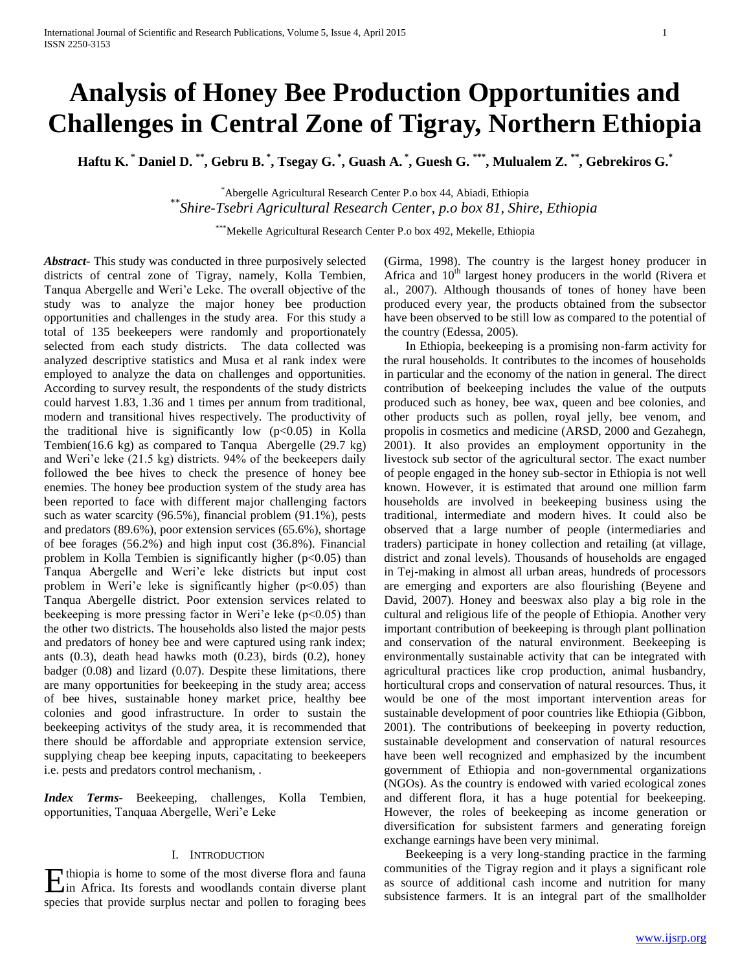# **Analysis of Honey Bee Production Opportunities and Challenges in Central Zone of Tigray, Northern Ethiopia**

**Haftu K. \* Daniel D. \*\*, Gebru B. \* , Tsegay G. \* , Guash A. \* , Guesh G. \*\*\*, Mulualem Z. \*\*, Gebrekiros G.\***

\*Abergelle Agricultural Research Center P.o box 44, Abiadi, Ethiopia *\*\*Shire-Tsebri Agricultural Research Center, p.o box 81, Shire, Ethiopia*

\*\*\*Mekelle Agricultural Research Center P.o box 492, Mekelle, Ethiopia

*Abstract***-** This study was conducted in three purposively selected districts of central zone of Tigray, namely, Kolla Tembien, Tanqua Abergelle and Weri'e Leke. The overall objective of the study was to analyze the major honey bee production opportunities and challenges in the study area. For this study a total of 135 beekeepers were randomly and proportionately selected from each study districts. The data collected was analyzed descriptive statistics and Musa et al rank index were employed to analyze the data on challenges and opportunities. According to survey result, the respondents of the study districts could harvest 1.83, 1.36 and 1 times per annum from traditional, modern and transitional hives respectively. The productivity of the traditional hive is significantly low  $(p<0.05)$  in Kolla Tembien(16.6 kg) as compared to Tanqua Abergelle (29.7 kg) and Weri'e leke (21.5 kg) districts. 94% of the beekeepers daily followed the bee hives to check the presence of honey bee enemies. The honey bee production system of the study area has been reported to face with different major challenging factors such as water scarcity (96.5%), financial problem (91.1%), pests and predators (89.6%), poor extension services (65.6%), shortage of bee forages (56.2%) and high input cost (36.8%). Financial problem in Kolla Tembien is significantly higher ( $p<0.05$ ) than Tanqua Abergelle and Weri'e leke districts but input cost problem in Weri'e leke is significantly higher  $(p<0.05)$  than Tanqua Abergelle district. Poor extension services related to beekeeping is more pressing factor in Weri'e leke (p<0.05) than the other two districts. The households also listed the major pests and predators of honey bee and were captured using rank index; ants  $(0.3)$ , death head hawks moth  $(0.23)$ , birds  $(0.2)$ , honey badger (0.08) and lizard (0.07). Despite these limitations, there are many opportunities for beekeeping in the study area; access of bee hives, sustainable honey market price, healthy bee colonies and good infrastructure. In order to sustain the beekeeping activitys of the study area, it is recommended that there should be affordable and appropriate extension service, supplying cheap bee keeping inputs, capacitating to beekeepers i.e. pests and predators control mechanism, .

*Index Terms*- Beekeeping, challenges, Kolla Tembien, opportunities, Tanquaa Abergelle, Weri'e Leke

# I. INTRODUCTION

in Africa. Its forests and woodlands contain diverse plant species that provide surplus nectar and pollen to foraging bees (Girma, 1998). The country is the largest honey producer in Africa and  $10<sup>th</sup>$  largest honey producers in the world (Rivera et al., 2007). Although thousands of tones of honey have been produced every year, the products obtained from the subsector have been observed to be still low as compared to the potential of the country (Edessa, 2005).

 In Ethiopia, beekeeping is a promising non-farm activity for the rural households. It contributes to the incomes of households in particular and the economy of the nation in general. The direct contribution of beekeeping includes the value of the outputs produced such as honey, bee wax, queen and bee colonies, and other products such as pollen, royal jelly, bee venom, and propolis in cosmetics and medicine (ARSD, 2000 and Gezahegn, 2001). It also provides an employment opportunity in the livestock sub sector of the agricultural sector. The exact number of people engaged in the honey sub-sector in Ethiopia is not well known. However, it is estimated that around one million farm households are involved in beekeeping business using the traditional, intermediate and modern hives. It could also be observed that a large number of people (intermediaries and traders) participate in honey collection and retailing (at village, district and zonal levels). Thousands of households are engaged in Tej-making in almost all urban areas, hundreds of processors are emerging and exporters are also flourishing (Beyene and David, 2007). Honey and beeswax also play a big role in the cultural and religious life of the people of Ethiopia. Another very important contribution of beekeeping is through plant pollination and conservation of the natural environment. Beekeeping is environmentally sustainable activity that can be integrated with agricultural practices like crop production, animal husbandry, horticultural crops and conservation of natural resources. Thus, it would be one of the most important intervention areas for sustainable development of poor countries like Ethiopia (Gibbon, 2001). The contributions of beekeeping in poverty reduction, sustainable development and conservation of natural resources have been well recognized and emphasized by the incumbent government of Ethiopia and non-governmental organizations (NGOs). As the country is endowed with varied ecological zones and different flora, it has a huge potential for beekeeping. However, the roles of beekeeping as income generation or diversification for subsistent farmers and generating foreign exchange earnings have been very minimal.

Thiopia is home to some of the most diverse flora and fauna<br>
in Africa. Its forests and woodlands contain diverse plant<br>
source of additional cash income and nutrition for many<br>
subsistence farmers. It is an integral part Beekeeping is a very long-standing practice in the farming communities of the Tigray region and it plays a significant role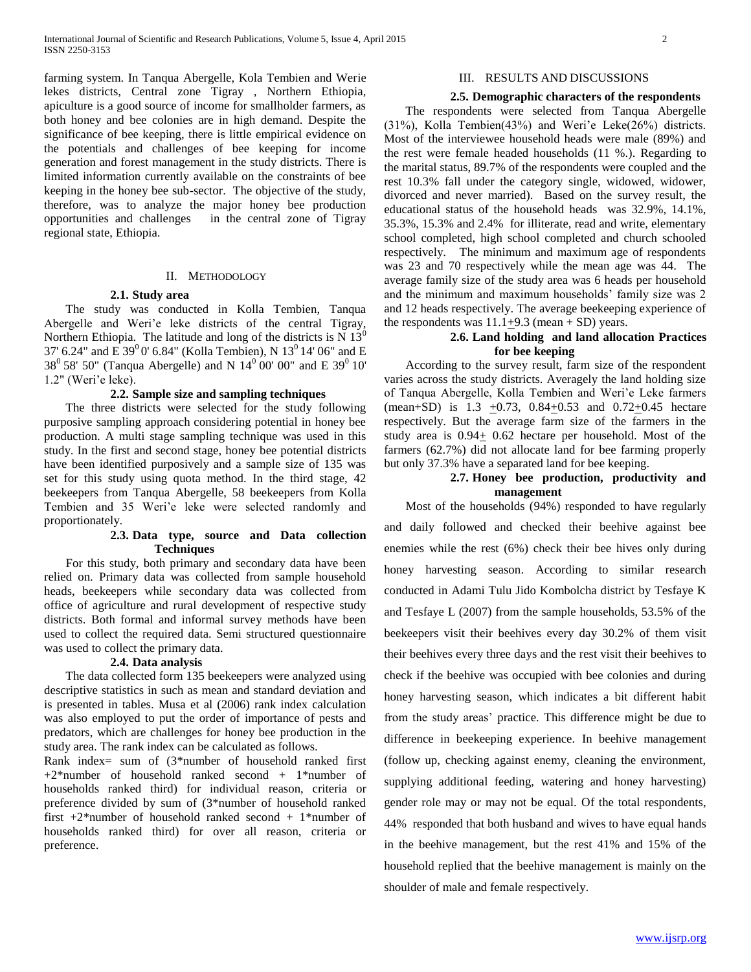farming system. In Tanqua Abergelle, Kola Tembien and Werie lekes districts, Central zone Tigray , Northern Ethiopia, apiculture is a good source of income for smallholder farmers, as both honey and bee colonies are in high demand. Despite the significance of bee keeping, there is little empirical evidence on the potentials and challenges of bee keeping for income generation and forest management in the study districts. There is limited information currently available on the constraints of bee keeping in the honey bee sub-sector. The objective of the study, therefore, was to analyze the major honey bee production opportunities and challenges in the central zone of Tigray regional state, Ethiopia.

#### II. METHODOLOGY

#### **2.1. Study area**

 The study was conducted in Kolla Tembien, Tanqua Abergelle and Weri'e leke districts of the central Tigray, Northern Ethiopia. The latitude and long of the districts is N  $13<sup>0</sup>$ 37' 6.24" and E 39<sup>0</sup> 0' 6.84" (Kolla Tembien), N 13<sup>0</sup> 14' 06" and E  $38^0$  58' 50" (Tanqua Abergelle) and N  $14^0$  00' 00" and E 39<sup>0</sup> 10' 1.2" (Weri'e leke).

## **2.2. Sample size and sampling techniques**

 The three districts were selected for the study following purposive sampling approach considering potential in honey bee production. A multi stage sampling technique was used in this study. In the first and second stage, honey bee potential districts have been identified purposively and a sample size of 135 was set for this study using quota method. In the third stage, 42 beekeepers from Tanqua Abergelle, 58 beekeepers from Kolla Tembien and 35 Weri'e leke were selected randomly and proportionately.

## **2.3. Data type, source and Data collection Techniques**

 For this study, both primary and secondary data have been relied on. Primary data was collected from sample household heads, beekeepers while secondary data was collected from office of agriculture and rural development of respective study districts. Both formal and informal survey methods have been used to collect the required data. Semi structured questionnaire was used to collect the primary data.

# **2.4. Data analysis**

 The data collected form 135 beekeepers were analyzed using descriptive statistics in such as mean and standard deviation and is presented in tables. Musa et al (2006) rank index calculation was also employed to put the order of importance of pests and predators, which are challenges for honey bee production in the study area. The rank index can be calculated as follows.

Rank index= sum of (3\*number of household ranked first  $+2*$ number of household ranked second  $+1*$ number of households ranked third) for individual reason, criteria or preference divided by sum of (3\*number of household ranked first +2\*number of household ranked second + 1\*number of households ranked third) for over all reason, criteria or preference.

# III. RESULTS AND DISCUSSIONS

#### **2.5. Demographic characters of the respondents**

 The respondents were selected from Tanqua Abergelle (31%), Kolla Tembien(43%) and Weri'e Leke(26%) districts. Most of the interviewee household heads were male (89%) and the rest were female headed households (11 %.). Regarding to the marital status, 89.7% of the respondents were coupled and the rest 10.3% fall under the category single, widowed, widower, divorced and never married). Based on the survey result, the educational status of the household heads was 32.9%, 14.1%, 35.3%, 15.3% and 2.4% for illiterate, read and write, elementary school completed, high school completed and church schooled respectively. The minimum and maximum age of respondents was 23 and 70 respectively while the mean age was 44. The average family size of the study area was 6 heads per household and the minimum and maximum households' family size was 2 and 12 heads respectively. The average beekeeping experience of the respondents was  $11.1 \pm 9.3$  (mean + SD) years.

# **2.6. Land holding and land allocation Practices for bee keeping**

 According to the survey result, farm size of the respondent varies across the study districts. Averagely the land holding size of Tanqua Abergelle, Kolla Tembien and Weri'e Leke farmers (mean+SD) is 1.3 +0.73, 0.84+0.53 and 0.72+0.45 hectare respectively. But the average farm size of the farmers in the study area is  $0.94 \pm 0.62$  hectare per household. Most of the farmers (62.7%) did not allocate land for bee farming properly but only 37.3% have a separated land for bee keeping.

## **2.7. Honey bee production, productivity and management**

 Most of the households (94%) responded to have regularly and daily followed and checked their beehive against bee enemies while the rest (6%) check their bee hives only during honey harvesting season. According to similar research conducted in Adami Tulu Jido Kombolcha district by Tesfaye K and Tesfaye L (2007) from the sample households, 53.5% of the beekeepers visit their beehives every day 30.2% of them visit their beehives every three days and the rest visit their beehives to check if the beehive was occupied with bee colonies and during honey harvesting season, which indicates a bit different habit from the study areas' practice. This difference might be due to difference in beekeeping experience. In beehive management (follow up, checking against enemy, cleaning the environment, supplying additional feeding, watering and honey harvesting) gender role may or may not be equal. Of the total respondents, 44% responded that both husband and wives to have equal hands in the beehive management, but the rest 41% and 15% of the household replied that the beehive management is mainly on the shoulder of male and female respectively.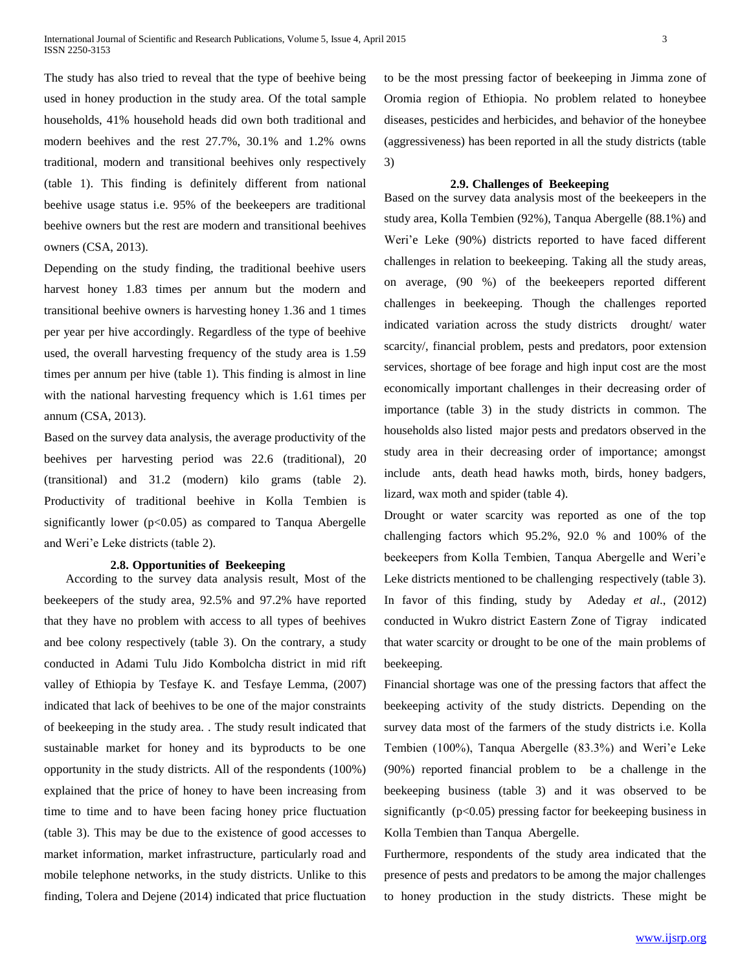The study has also tried to reveal that the type of beehive being used in honey production in the study area. Of the total sample households, 41% household heads did own both traditional and modern beehives and the rest 27.7%, 30.1% and 1.2% owns traditional, modern and transitional beehives only respectively (table 1). This finding is definitely different from national beehive usage status i.e. 95% of the beekeepers are traditional beehive owners but the rest are modern and transitional beehives owners (CSA, 2013).

Depending on the study finding, the traditional beehive users harvest honey 1.83 times per annum but the modern and transitional beehive owners is harvesting honey 1.36 and 1 times per year per hive accordingly. Regardless of the type of beehive used, the overall harvesting frequency of the study area is 1.59 times per annum per hive (table 1). This finding is almost in line with the national harvesting frequency which is 1.61 times per annum (CSA, 2013).

Based on the survey data analysis, the average productivity of the beehives per harvesting period was 22.6 (traditional), 20 (transitional) and 31.2 (modern) kilo grams (table 2). Productivity of traditional beehive in Kolla Tembien is significantly lower ( $p<0.05$ ) as compared to Tanqua Abergelle and Weri'e Leke districts (table 2).

#### **2.8. Opportunities of Beekeeping**

 According to the survey data analysis result, Most of the beekeepers of the study area, 92.5% and 97.2% have reported that they have no problem with access to all types of beehives and bee colony respectively (table 3). On the contrary, a study conducted in Adami Tulu Jido Kombolcha district in mid rift valley of Ethiopia by Tesfaye K. and Tesfaye Lemma, (2007) indicated that lack of beehives to be one of the major constraints of beekeeping in the study area. . The study result indicated that sustainable market for honey and its byproducts to be one opportunity in the study districts. All of the respondents (100%) explained that the price of honey to have been increasing from time to time and to have been facing honey price fluctuation (table 3). This may be due to the existence of good accesses to market information, market infrastructure, particularly road and mobile telephone networks, in the study districts. Unlike to this finding, Tolera and Dejene (2014) indicated that price fluctuation to be the most pressing factor of beekeeping in Jimma zone of Oromia region of Ethiopia. No problem related to honeybee diseases, pesticides and herbicides, and behavior of the honeybee (aggressiveness) has been reported in all the study districts (table 3)

#### **2.9. Challenges of Beekeeping**

Based on the survey data analysis most of the beekeepers in the study area, Kolla Tembien (92%), Tanqua Abergelle (88.1%) and Weri'e Leke (90%) districts reported to have faced different challenges in relation to beekeeping. Taking all the study areas, on average, (90 %) of the beekeepers reported different challenges in beekeeping. Though the challenges reported indicated variation across the study districts drought/ water scarcity/, financial problem, pests and predators, poor extension services, shortage of bee forage and high input cost are the most economically important challenges in their decreasing order of importance (table 3) in the study districts in common. The households also listed major pests and predators observed in the study area in their decreasing order of importance; amongst include ants, death head hawks moth, birds, honey badgers, lizard, wax moth and spider (table 4).

Drought or water scarcity was reported as one of the top challenging factors which 95.2%, 92.0 % and 100% of the beekeepers from Kolla Tembien, Tanqua Abergelle and Weri'e Leke districts mentioned to be challenging respectively (table 3). In favor of this finding, study by Adeday *et al*., (2012) conducted in Wukro district Eastern Zone of Tigray indicated that water scarcity or drought to be one of the main problems of beekeeping.

Financial shortage was one of the pressing factors that affect the beekeeping activity of the study districts. Depending on the survey data most of the farmers of the study districts i.e. Kolla Tembien (100%), Tanqua Abergelle (83.3%) and Weri'e Leke (90%) reported financial problem to be a challenge in the beekeeping business (table 3) and it was observed to be significantly  $(p<0.05)$  pressing factor for beekeeping business in Kolla Tembien than Tanqua Abergelle.

Furthermore, respondents of the study area indicated that the presence of pests and predators to be among the major challenges to honey production in the study districts. These might be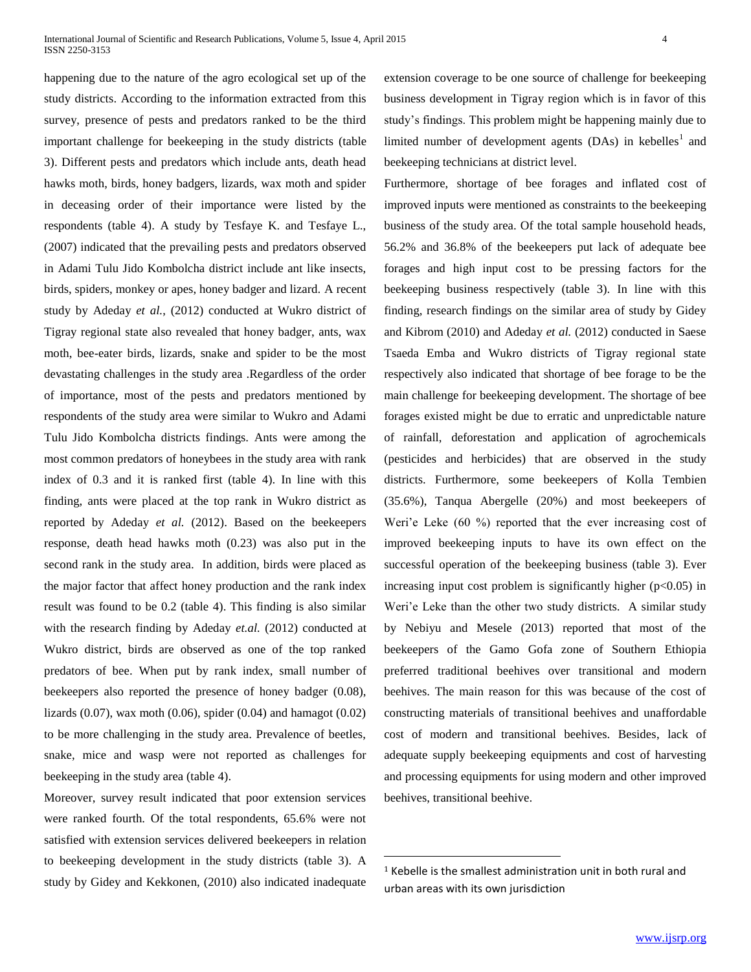happening due to the nature of the agro ecological set up of the study districts. According to the information extracted from this survey, presence of pests and predators ranked to be the third important challenge for beekeeping in the study districts (table 3). Different pests and predators which include ants, death head hawks moth, birds, honey badgers, lizards, wax moth and spider in deceasing order of their importance were listed by the respondents (table 4). A study by Tesfaye K. and Tesfaye L., (2007) indicated that the prevailing pests and predators observed in Adami Tulu Jido Kombolcha district include ant like insects, birds, spiders, monkey or apes, honey badger and lizard. A recent study by Adeday *et al.*, (2012) conducted at Wukro district of Tigray regional state also revealed that honey badger, ants, wax moth, bee-eater birds, lizards, snake and spider to be the most devastating challenges in the study area .Regardless of the order of importance, most of the pests and predators mentioned by respondents of the study area were similar to Wukro and Adami Tulu Jido Kombolcha districts findings. Ants were among the most common predators of honeybees in the study area with rank index of 0.3 and it is ranked first (table 4). In line with this finding, ants were placed at the top rank in Wukro district as reported by Adeday *et al.* (2012). Based on the beekeepers response, death head hawks moth (0.23) was also put in the second rank in the study area. In addition, birds were placed as the major factor that affect honey production and the rank index result was found to be 0.2 (table 4). This finding is also similar with the research finding by Adeday et.al. (2012) conducted at Wukro district, birds are observed as one of the top ranked predators of bee. When put by rank index, small number of beekeepers also reported the presence of honey badger (0.08), lizards  $(0.07)$ , wax moth  $(0.06)$ , spider  $(0.04)$  and hamagot  $(0.02)$ to be more challenging in the study area. Prevalence of beetles, snake, mice and wasp were not reported as challenges for beekeeping in the study area (table 4).

Moreover, survey result indicated that poor extension services were ranked fourth. Of the total respondents, 65.6% were not satisfied with extension services delivered beekeepers in relation to beekeeping development in the study districts (table 3). A study by Gidey and Kekkonen, (2010) also indicated inadequate extension coverage to be one source of challenge for beekeeping business development in Tigray region which is in favor of this study's findings. This problem might be happening mainly due to limited number of development agents (DAs) in kebelles<sup>1</sup> and beekeeping technicians at district level.

Furthermore, shortage of bee forages and inflated cost of improved inputs were mentioned as constraints to the beekeeping business of the study area. Of the total sample household heads, 56.2% and 36.8% of the beekeepers put lack of adequate bee forages and high input cost to be pressing factors for the beekeeping business respectively (table 3). In line with this finding, research findings on the similar area of study by Gidey and Kibrom (2010) and Adeday *et al.* (2012) conducted in Saese Tsaeda Emba and Wukro districts of Tigray regional state respectively also indicated that shortage of bee forage to be the main challenge for beekeeping development. The shortage of bee forages existed might be due to erratic and unpredictable nature of rainfall, deforestation and application of agrochemicals (pesticides and herbicides) that are observed in the study districts. Furthermore, some beekeepers of Kolla Tembien (35.6%), Tanqua Abergelle (20%) and most beekeepers of Weri'e Leke (60 %) reported that the ever increasing cost of improved beekeeping inputs to have its own effect on the successful operation of the beekeeping business (table 3). Ever increasing input cost problem is significantly higher  $(p<0.05)$  in Weri'e Leke than the other two study districts. A similar study by Nebiyu and Mesele (2013) reported that most of the beekeepers of the Gamo Gofa zone of Southern Ethiopia preferred traditional beehives over transitional and modern beehives. The main reason for this was because of the cost of constructing materials of transitional beehives and unaffordable cost of modern and transitional beehives. Besides, lack of adequate supply beekeeping equipments and cost of harvesting and processing equipments for using modern and other improved beehives, transitional beehive.

 $\overline{a}$ 

<sup>1</sup> Kebelle is the smallest administration unit in both rural and urban areas with its own jurisdiction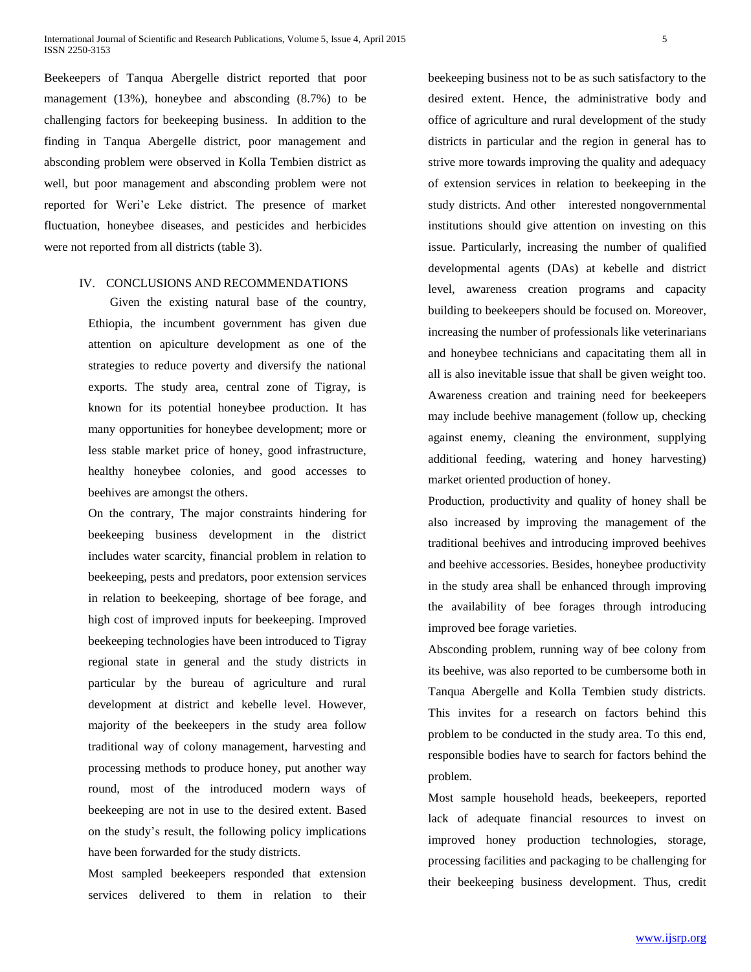Beekeepers of Tanqua Abergelle district reported that poor management (13%), honeybee and absconding (8.7%) to be challenging factors for beekeeping business. In addition to the finding in Tanqua Abergelle district, poor management and absconding problem were observed in Kolla Tembien district as well, but poor management and absconding problem were not reported for Weri'e Leke district. The presence of market fluctuation, honeybee diseases, and pesticides and herbicides were not reported from all districts (table 3).

## IV. CONCLUSIONS AND RECOMMENDATIONS

 Given the existing natural base of the country, Ethiopia, the incumbent government has given due attention on apiculture development as one of the strategies to reduce poverty and diversify the national exports. The study area, central zone of Tigray, is known for its potential honeybee production. It has many opportunities for honeybee development; more or less stable market price of honey, good infrastructure, healthy honeybee colonies, and good accesses to beehives are amongst the others.

On the contrary, The major constraints hindering for beekeeping business development in the district includes water scarcity, financial problem in relation to beekeeping, pests and predators, poor extension services in relation to beekeeping, shortage of bee forage, and high cost of improved inputs for beekeeping. Improved beekeeping technologies have been introduced to Tigray regional state in general and the study districts in particular by the bureau of agriculture and rural development at district and kebelle level. However, majority of the beekeepers in the study area follow traditional way of colony management, harvesting and processing methods to produce honey, put another way round, most of the introduced modern ways of beekeeping are not in use to the desired extent. Based on the study's result, the following policy implications have been forwarded for the study districts.

Most sampled beekeepers responded that extension services delivered to them in relation to their beekeeping business not to be as such satisfactory to the desired extent. Hence, the administrative body and office of agriculture and rural development of the study districts in particular and the region in general has to strive more towards improving the quality and adequacy of extension services in relation to beekeeping in the study districts. And other interested nongovernmental institutions should give attention on investing on this issue. Particularly, increasing the number of qualified developmental agents (DAs) at kebelle and district level, awareness creation programs and capacity building to beekeepers should be focused on. Moreover, increasing the number of professionals like veterinarians and honeybee technicians and capacitating them all in all is also inevitable issue that shall be given weight too. Awareness creation and training need for beekeepers may include beehive management (follow up, checking against enemy, cleaning the environment, supplying additional feeding, watering and honey harvesting) market oriented production of honey.

Production, productivity and quality of honey shall be also increased by improving the management of the traditional beehives and introducing improved beehives and beehive accessories. Besides, honeybee productivity in the study area shall be enhanced through improving the availability of bee forages through introducing improved bee forage varieties.

Absconding problem, running way of bee colony from its beehive, was also reported to be cumbersome both in Tanqua Abergelle and Kolla Tembien study districts. This invites for a research on factors behind this problem to be conducted in the study area. To this end, responsible bodies have to search for factors behind the problem.

Most sample household heads, beekeepers, reported lack of adequate financial resources to invest on improved honey production technologies, storage, processing facilities and packaging to be challenging for their beekeeping business development. Thus, credit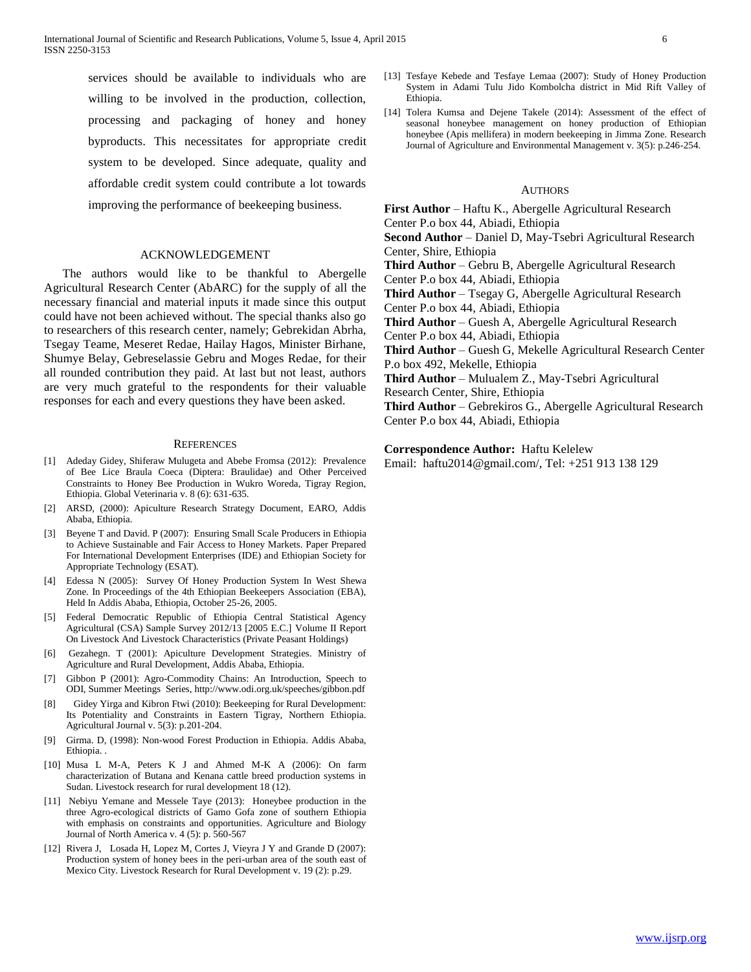services should be available to individuals who are willing to be involved in the production, collection, processing and packaging of honey and honey byproducts. This necessitates for appropriate credit system to be developed. Since adequate, quality and affordable credit system could contribute a lot towards improving the performance of beekeeping business.

## ACKNOWLEDGEMENT

 The authors would like to be thankful to Abergelle Agricultural Research Center (AbARC) for the supply of all the necessary financial and material inputs it made since this output could have not been achieved without. The special thanks also go to researchers of this research center, namely; Gebrekidan Abrha, Tsegay Teame, Meseret Redae, Hailay Hagos, Minister Birhane, Shumye Belay, Gebreselassie Gebru and Moges Redae, for their all rounded contribution they paid. At last but not least, authors are very much grateful to the respondents for their valuable responses for each and every questions they have been asked.

#### **REFERENCES**

- [1] Adeday Gidey, Shiferaw Mulugeta and Abebe Fromsa (2012): Prevalence of Bee Lice Braula Coeca (Diptera: Braulidae) and Other Perceived Constraints to Honey Bee Production in Wukro Woreda, Tigray Region, Ethiopia. Global Veterinaria v. 8 (6): 631-635.
- [2] ARSD, (2000): Apiculture Research Strategy Document, EARO, Addis Ababa, Ethiopia.
- [3] Beyene T and David. P (2007): Ensuring Small Scale Producers in Ethiopia to Achieve Sustainable and Fair Access to Honey Markets. Paper Prepared For International Development Enterprises (IDE) and Ethiopian Society for Appropriate Technology (ESAT).
- [4] Edessa N (2005): Survey Of Honey Production System In West Shewa Zone. In Proceedings of the 4th Ethiopian Beekeepers Association (EBA), Held In Addis Ababa, Ethiopia, October 25-26, 2005.
- [5] Federal Democratic Republic of Ethiopia Central Statistical Agency Agricultural (CSA) Sample Survey 2012/13 [2005 E.C.] Volume II Report On Livestock And Livestock Characteristics (Private Peasant Holdings)
- [6] Gezahegn. T (2001): Apiculture Development Strategies. Ministry of Agriculture and Rural Development, Addis Ababa, Ethiopia.
- [7] Gibbon P (2001): Agro-Commodity Chains: An Introduction, Speech to ODI, Summer Meetings Series, http://www.odi.org.uk/speeches/gibbon.pdf
- [8] Gidey Yirga and Kibron Ftwi (2010): Beekeeping for Rural Development: Its Potentiality and Constraints in Eastern Tigray, Northern Ethiopia. Agricultural Journal v. 5(3): p.201-204.
- [9] Girma. D, (1998): Non-wood Forest Production in Ethiopia. Addis Ababa, Ethiopia. .
- [10] Musa L M-A, Peters K J and Ahmed M-K A (2006): On farm characterization of Butana and Kenana cattle breed production systems in Sudan. Livestock research for rural development 18 (12).
- [11] Nebiyu Yemane and Messele Taye (2013): Honeybee production in the three Agro-ecological districts of Gamo Gofa zone of southern Ethiopia with emphasis on constraints and opportunities. Agriculture and Biology Journal of North America v. 4 (5): p. 560-567
- [12] Rivera J, Losada H, Lopez M, Cortes J, Vieyra J Y and Grande D (2007): Production system of honey bees in the peri-urban area of the south east of Mexico City. Livestock Research for Rural Development v. 19 (2): p.29.
- [13] Tesfaye Kebede and Tesfaye Lemaa (2007): Study of Honey Production System in Adami Tulu Jido Kombolcha district in Mid Rift Valley of Ethiopia.
- [14] Tolera Kumsa and Dejene Takele (2014): Assessment of the effect of seasonal honeybee management on honey production of Ethiopian honeybee (Apis mellifera) in modern beekeeping in Jimma Zone. Research Journal of Agriculture and Environmental Management v. 3(5): p.246-254.

#### AUTHORS

**First Author** – Haftu K., Abergelle Agricultural Research Center P.o box 44, Abiadi, Ethiopia

**Second Author** – Daniel D, May-Tsebri Agricultural Research Center, Shire, Ethiopia

**Third Author** – Gebru B, Abergelle Agricultural Research Center P.o box 44, Abiadi, Ethiopia

**Third Author** – Tsegay G, Abergelle Agricultural Research Center P.o box 44, Abiadi, Ethiopia

**Third Author** – Guesh A, Abergelle Agricultural Research

Center P.o box 44, Abiadi, Ethiopia

**Third Author** – Guesh G, Mekelle Agricultural Research Center P.o box 492, Mekelle, Ethiopia

**Third Author** – Mulualem Z., May-Tsebri Agricultural Research Center, Shire, Ethiopia

**Third Author** – Gebrekiros G., Abergelle Agricultural Research Center P.o box 44, Abiadi, Ethiopia

#### **Correspondence Author:** Haftu Kelelew

Email: haftu2014@gmail.com/, Tel: +251 913 138 129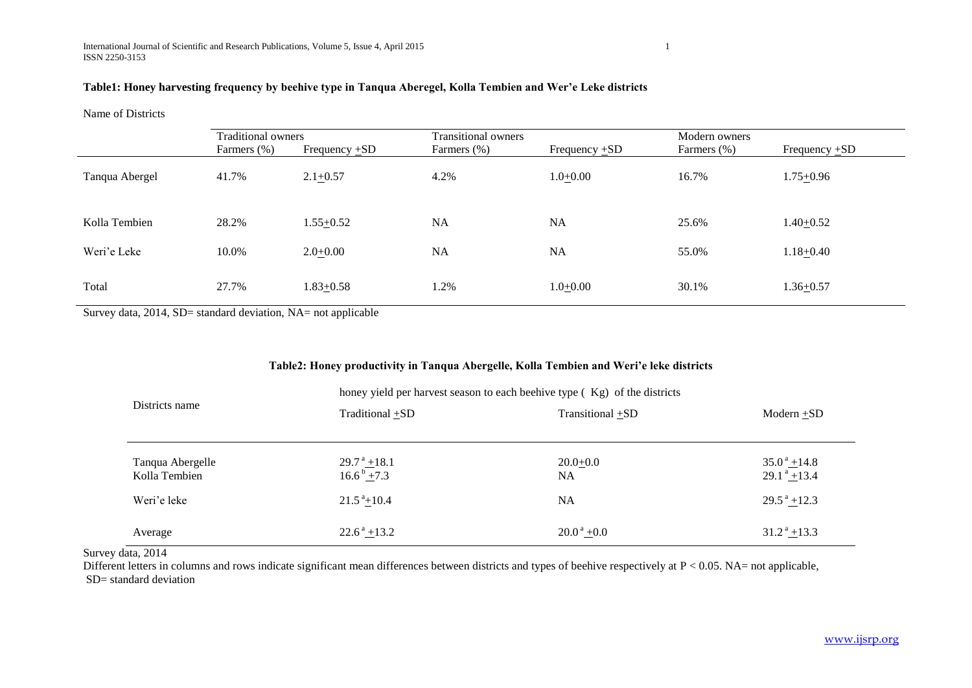# **Table1: Honey harvesting frequency by beehive type in Tanqua Aberegel, Kolla Tembien and Wer'e Leke districts**

Name of Districts

|                | <b>Traditional owners</b> |                    | <b>Transitional owners</b> |                    | Modern owners |                    |  |
|----------------|---------------------------|--------------------|----------------------------|--------------------|---------------|--------------------|--|
|                | Farmers (%)               | Frequency $\pm SD$ | Farmers (%)                | Frequency $\pm SD$ | Farmers (%)   | Frequency $\pm SD$ |  |
| Tanqua Abergel | 41.7%                     | $2.1 + 0.57$       | 4.2%                       | $1.0 + 0.00$       | 16.7%         | $1.75 + 0.96$      |  |
| Kolla Tembien  | 28.2%                     | $1.55 + 0.52$      | <b>NA</b>                  | NA                 | 25.6%         | $1.40 + 0.52$      |  |
| Weri'e Leke    | 10.0%                     | $2.0 + 0.00$       | <b>NA</b>                  | <b>NA</b>          | 55.0%         | $1.18 + 0.40$      |  |
| Total          | 27.7%                     | $1.83 \pm 0.58$    | 1.2%                       | $1.0+0.00$         | 30.1%         | $1.36 + 0.57$      |  |

Survey data, 2014, SD= standard deviation, NA= not applicable

# **Table2: Honey productivity in Tanqua Abergelle, Kolla Tembien and Weri'e leke districts**

|                                   | honey yield per harvest season to each been type (Kg) of the districts |                                    |                                          |  |  |  |  |
|-----------------------------------|------------------------------------------------------------------------|------------------------------------|------------------------------------------|--|--|--|--|
| Districts name                    | Traditional +SD                                                        | Transitional +SD                   | $Modern + SD$                            |  |  |  |  |
|                                   |                                                                        |                                    |                                          |  |  |  |  |
| Tanqua Abergelle<br>Kolla Tembien | $29.7^{\text{ a}}$ + 18.1<br>$16.6^{\mathrm{b}} + 7.3$                 | $20.0+0.0$<br><b>NA</b>            | $35.0^{\circ}$ + 14.8<br>$29.1^a + 13.4$ |  |  |  |  |
| Weri'e leke                       | $21.5^{\text{a}} + 10.4$                                               | NA                                 | $29.5^{\text{a}} + 12.3$                 |  |  |  |  |
| Average                           | $22.6^{\text{a}} + 13.2$                                               | $20.0^{\text{ a}} + 0.0^{\text{}}$ | $31.2^{\text{a}} + 13.3$                 |  |  |  |  |

Survey data, 2014

Different letters in columns and rows indicate significant mean differences between districts and types of beehive respectively at P < 0.05. NA= not applicable, SD= standard deviation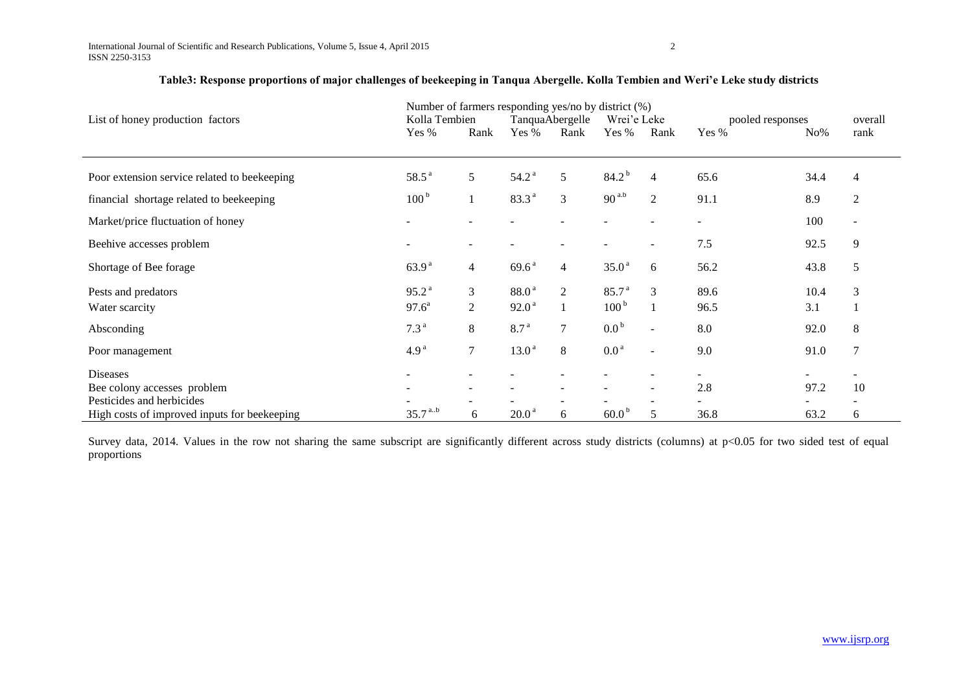|                                              | Number of farmers responding yes/no by district (%) |                          |                   |                |                   |                          |                          |        |                          |
|----------------------------------------------|-----------------------------------------------------|--------------------------|-------------------|----------------|-------------------|--------------------------|--------------------------|--------|--------------------------|
| List of honey production factors             | Kolla Tembien                                       |                          | TanquaAbergelle   |                | Wrei'e Leke       |                          | pooled responses         |        | overall                  |
|                                              | Yes %                                               | Rank                     | Yes %             | Rank           | Yes %             | Rank                     | Yes %                    | $No\%$ | rank                     |
|                                              |                                                     |                          |                   |                |                   |                          |                          |        |                          |
| Poor extension service related to beekeeping | $58.5^{\text{a}}$                                   | 5                        | 54.2 <sup>a</sup> | 5              | $84.2^{b}$        | $\overline{4}$           | 65.6                     | 34.4   | 4                        |
| financial shortage related to beekeeping     | 100 <sup>b</sup>                                    |                          | 83.3 <sup>a</sup> | 3              | $90^{a,b}$        | $\overline{2}$           | 91.1                     | 8.9    | $\mathfrak{2}$           |
| Market/price fluctuation of honey            |                                                     |                          |                   |                |                   |                          | $\overline{\phantom{a}}$ | 100    | $\overline{\phantom{a}}$ |
| Beehive accesses problem                     |                                                     | $\overline{\phantom{a}}$ |                   |                |                   | $\overline{\phantom{a}}$ | 7.5                      | 92.5   | 9                        |
| Shortage of Bee forage                       | 63.9 <sup>a</sup>                                   | 4                        | 69.6 <sup>a</sup> | 4              | 35.0 <sup>a</sup> | 6                        | 56.2                     | 43.8   | 5                        |
| Pests and predators                          | 95.2 <sup>a</sup>                                   | 3                        | 88.0 <sup>a</sup> | $\overline{2}$ | 85.7 <sup>a</sup> | $\mathfrak{Z}$           | 89.6                     | 10.4   | 3                        |
| Water scarcity                               | $97.6^{\circ}$                                      | $\overline{2}$           | 92.0 <sup>a</sup> |                | 100 <sup>b</sup>  |                          | 96.5                     | 3.1    |                          |
| Absconding                                   | 7.3 <sup>a</sup>                                    | 8                        | 8.7 <sup>a</sup>  | 7              | 0.0 <sup>b</sup>  | $\sim$                   | 8.0                      | 92.0   | $\,8\,$                  |
| Poor management                              | 4.9 <sup>a</sup>                                    | 7                        | 13.0 <sup>a</sup> | 8              | 0.0 <sup>a</sup>  | $\blacksquare$           | 9.0                      | 91.0   | 7                        |
| <b>Diseases</b>                              |                                                     |                          |                   |                |                   |                          |                          |        |                          |
| Bee colony accesses problem                  |                                                     | $\overline{\phantom{a}}$ |                   |                |                   | $\overline{\phantom{a}}$ | 2.8                      | 97.2   | 10                       |
| Pesticides and herbicides                    |                                                     |                          |                   |                |                   |                          |                          |        |                          |
| High costs of improved inputs for beekeeping | $35.7^{ab}$                                         | 6                        | $20.0a$           | 6              | 60.0 <sup>b</sup> | 5                        | 36.8                     | 63.2   | 6                        |

# **Table3: Response proportions of major challenges of beekeeping in Tanqua Abergelle. Kolla Tembien and Weri'e Leke study districts**

Survey data, 2014. Values in the row not sharing the same subscript are significantly different across study districts (columns) at p<0.05 for two sided test of equal proportions